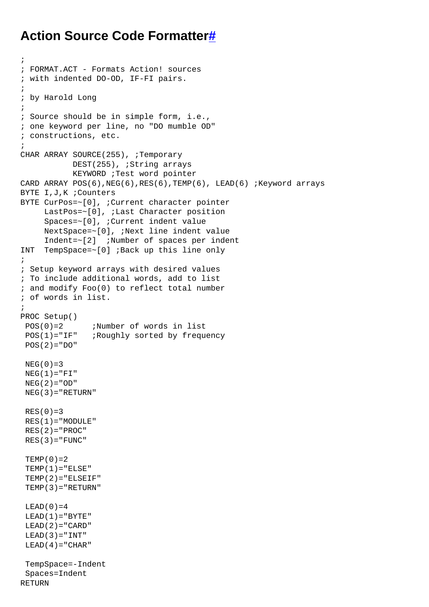## **Action Source Code Formatte[r#](http://[fd00::119]:8080/wiki/#section-Action+Source+Code+Formatter-ActionSourceCodeFormatter)**

```
;
; FORMAT.ACT - Formats Action! sources
; with indented DO-OD, IF-FI pairs.
;
; by Harold Long
;
; Source should be in simple form, i.e.,
; one keyword per line, no "DO mumble OD"
; constructions, etc.
;
CHAR ARRAY SOURCE(255), ;Temporary
           DEST(255), ;String arrays
            KEYWORD ;Test word pointer
CARD ARRAY POS(6), NEG(6), RES(6), TEMP(6), LEAD(6) ; Keyword arrays
BYTE I,J,K ;Counters
BYTE CurPos=~[0], ;Current character pointer
      LastPos=~[0], ;Last Character position
      Spaces=~[0], ;Current indent value
      NextSpace=~[0], ;Next line indent value
      Indent=~[2] ;Number of spaces per indent
INT TempSpace=~[0] ;Back up this line only
;
; Setup keyword arrays with desired values
; To include additional words, add to list
; and modify Foo(0) to reflect total number
; of words in list.
;
PROC Setup()
 POS(0)=2 ;Number of words in list
POS(1)="IF" ;Roughly sorted by frequency
POS(2)="DO"NEG(0)=3NEG(1)="FI"NEG(2)="OD"NEG(3)="RETURN"RES(0)=3RES(1) = "MODULE"
 RES(2) = "PROC"RES(3) = "FUNC"TEMP(0)=2TEMP(1) = "ELSE"TEMP(2) = "ELSEIF"TEMP(3) = "RETURN"LEAD(0)=4LEAD(1) = "BYTE"LEAD(2) = "CARD"LEAD(3) = "INT"LEAD(4) = "CHAR" TempSpace=-Indent
  Spaces=Indent
RETURN
```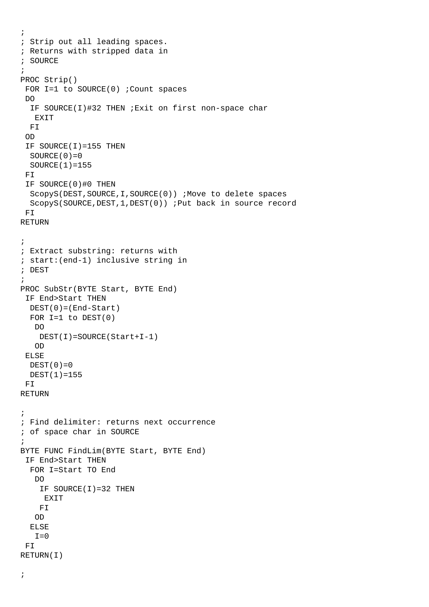```
;
; Strip out all leading spaces.
; Returns with stripped data in
; SOURCE
;
PROC Strip()
FOR I=1 to SOURCE(0) ; Count spaces
 DO
   IF SOURCE(I)#32 THEN ;Exit on first non-space char
   EXTT
  FI
  OD
  IF SOURCE(I)=155 THEN
  SOURCE(0)=0 SOURCE(1)=155
  FI
  IF SOURCE(0)#0 THEN
   ScopyS(DEST,SOURCE,I,SOURCE(0)) ;Move to delete spaces
   ScopyS(SOURCE,DEST,1,DEST(0)) ;Put back in source record
 FI
RETURN
;
; Extract substring: returns with
; start:(end-1) inclusive string in
; DEST
;
PROC SubStr(BYTE Start, BYTE End)
  IF End>Start THEN
  DEST(0)=(End-Start)
  FOR I=1 to DIST(0) DO
     DEST(I)=SOURCE(Start+I-1)
    OD
  ELSE
 DEF(T(0)=0 DEST(1)=155
F<sub>T</sub>
RETURN
;
; Find delimiter: returns next occurrence
; of space char in SOURCE
;
BYTE FUNC FindLim(BYTE Start, BYTE End)
  IF End>Start THEN
  FOR I=Start TO End
    DO
    IF SOURCE(I)=32 THEN
      EXIT
     FI
    OD
   ELSE
   I=0 FI
RETURN(I)
```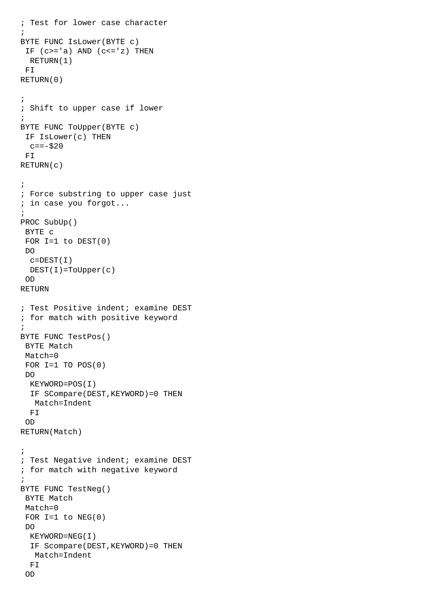```
; Test for lower case character
;
BYTE FUNC IsLower(BYTE c)
IF (c>='a) AND (c<='z) THEN
  RETURN(1)
 FI
RETURN(0)
;
; Shift to upper case if lower
;
BYTE FUNC ToUpper(BYTE c)
  IF IsLower(c) THEN
 c=-\frac{1}{2}20 FI
RETURN(c)
;
; Force substring to upper case just
; in case you forgot...
;
PROC SubUp()
 BYTE c
FOR I=1 to DEF(0) DO
 c =DEST(I) DEST(I)=ToUpper(c)
 OD
RETURN
; Test Positive indent; examine DEST
; for match with positive keyword
;
BYTE FUNC TestPos()
 BYTE Match
 Match=0
FOR I=1 TO POS(0) DO
   KEYWORD=POS(I)
   IF SCompare(DEST,KEYWORD)=0 THEN
   Match=Indent
  FI
  OD
RETURN(Match)
;
; Test Negative indent; examine DEST
; for match with negative keyword
;
BYTE FUNC TestNeg()
 BYTE Match
 Match=0
FOR I=1 to NEG(0) DO
  KEYWORD=NEG(I)
   IF Scompare(DEST,KEYWORD)=0 THEN
   Match=Indent
  FI
  OD
```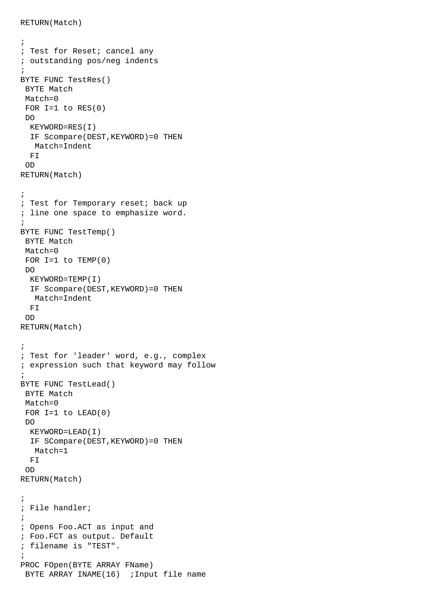```
;
; Test for Reset; cancel any
; outstanding pos/neg indents
;
BYTE FUNC TestRes()
 BYTE Match
 Match=0
FOR I=1 to RES(0) DO
  KEYWORD=RES(I)
   IF Scompare(DEST,KEYWORD)=0 THEN
   Match=Indent
  FI
  OD
RETURN(Match)
;
; Test for Temporary reset; back up
; line one space to emphasize word.
;
BYTE FUNC TestTemp()
 BYTE Match
 Match=0
FOR I=1 to \text{TEMP}(0) DO
  KEYWORD=TEMP(I)
  IF Scompare(DEST,KEYWORD)=0 THEN
   Match=Indent
   FI
  OD
RETURN(Match)
;
; Test for 'leader' word, e.g., complex
; expression such that keyword may follow
;
BYTE FUNC TestLead()
 BYTE Match
 Match=0
FOR I=1 to LEAD(0) DO
  KEYWORD=LEAD(I)
   IF SCompare(DEST,KEYWORD)=0 THEN
   Match=1
 FT
  OD
RETURN(Match)
;
; File handler; 
;
; Opens Foo.ACT as input and
; Foo.FCT as output. Default
; filename is "TEST".
;
PROC FOpen(BYTE ARRAY FName)
BYTE ARRAY INAME(16) ; Input file name
```
RETURN(Match)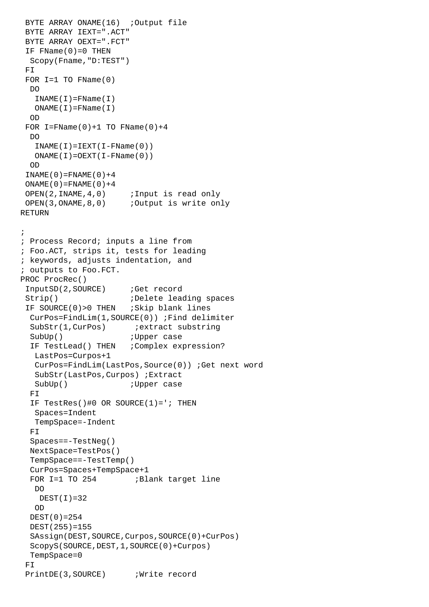```
BYTE ARRAY ONAME(16) ;Output file
 BYTE ARRAY IEXT=".ACT"
 BYTE ARRAY OEXT=".FCT"
IF FName(0)=0 THEN
  Scopy(Fname,"D:TEST")
 FI
FOR I=1 TO FName(0)
  DO
   INAME(I) = FName(I)ONAME(I) = FName(I) OD
FOR I =FName(0)+1 TO FName(0)+4
  DO
   INAME(I) = IEXT(I-FName(0))ONAME(I) = OEXT(I-FName(0)) OD
INAME(0)=FNAME(0)+4ONAME(0) = FNAME(0) + 4OPEN(2, INAME, 4,0) ; Input is read only
 OPEN(3,ONAME,8,0) ;Output is write only
RETURN
;
; Process Record; inputs a line from
; Foo.ACT, strips it, tests for leading
; keywords, adjusts indentation, and
; outputs to Foo.FCT.
PROC ProcRec()
 InputSD(2,SOURCE) ;Get record
Strip() \qquad \qquad ;Delete leading spaces
IF SOURCE(0)>0 THEN ; Skip blank lines
  CurPos=FindLim(1,SOURCE(0)) ;Find delimiter
  SubStr(1, CurPos) ; extract substring
 SubUp() \qquad \qquad \text{jUpper case}IF TestLead() THEN ; Complex expression?
   LastPos=Curpos+1
   CurPos=FindLim(LastPos,Source(0)) ;Get next word
    SubStr(LastPos,Curpos) ;Extract
  SubUp() \qquad \qquad \text{iUpper case} FI
  IF TestRes()#0 OR SOURCE(1)='; THEN
    Spaces=Indent
   TempSpace=-Indent
 FT
   Spaces==-TestNeg()
  NextSpace=TestPos()
  TempSpace==-TestTemp()
   CurPos=Spaces+TempSpace+1
 FOR I=1 TO 254 ;Blank target line
   DO
    DEST(I)=32 OD
  DEST(0)=254
  DEST(255)=155
   SAssign(DEST,SOURCE,Curpos,SOURCE(0)+CurPos)
   ScopyS(SOURCE,DEST,1,SOURCE(0)+Curpos)
   TempSpace=0
FT
PrintDE(3, SOURCE) ; Write record
```